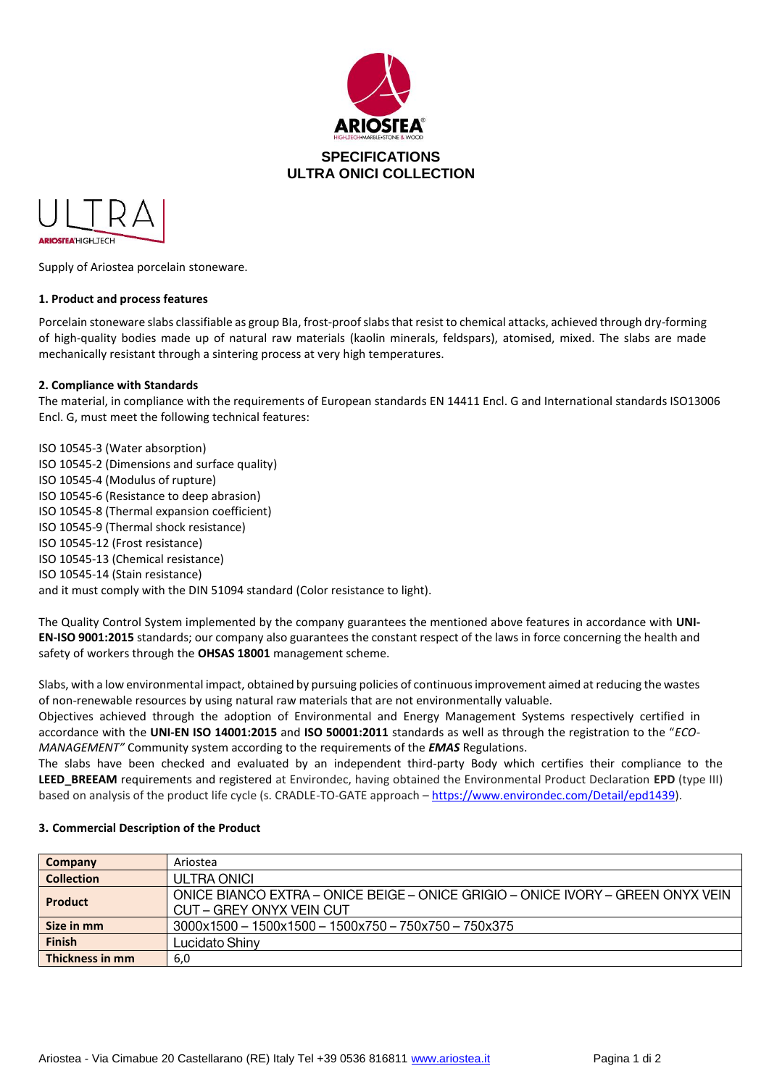



Supply of Ariostea porcelain stoneware.

## **1. Product and process features**

Porcelain stoneware slabs classifiable as group BIa, frost-proof slabs that resist to chemical attacks, achieved through dry-forming of high-quality bodies made up of natural raw materials (kaolin minerals, feldspars), atomised, mixed. The slabs are made mechanically resistant through a sintering process at very high temperatures.

## **2. Compliance with Standards**

The material, in compliance with the requirements of European standards EN 14411 Encl. G and International standards ISO13006 Encl. G, must meet the following technical features:

ISO 10545-3 (Water absorption) ISO 10545-2 (Dimensions and surface quality) ISO 10545-4 (Modulus of rupture) ISO 10545-6 (Resistance to deep abrasion) ISO 10545-8 (Thermal expansion coefficient) ISO 10545-9 (Thermal shock resistance) ISO 10545-12 (Frost resistance) ISO 10545-13 (Chemical resistance) ISO 10545-14 (Stain resistance) and it must comply with the DIN 51094 standard (Color resistance to light).

The Quality Control System implemented by the company guarantees the mentioned above features in accordance with **UNI-EN-ISO 9001:2015** standards; our company also guarantees the constant respect of the laws in force concerning the health and safety of workers through the **OHSAS 18001** management scheme.

Slabs, with a low environmental impact, obtained by pursuing policies of continuous improvement aimed at reducing the wastes of non-renewable resources by using natural raw materials that are not environmentally valuable.

Objectives achieved through the adoption of Environmental and Energy Management Systems respectively certified in accordance with the **UNI-EN ISO 14001:2015** and **ISO 50001:2011** standards as well as through the registration to the "*ECO-MANAGEMENT"* Community system according to the requirements of the *EMAS* Regulations.

The slabs have been checked and evaluated by an independent third-party Body which certifies their compliance to the **LEED\_BREEAM** requirements and registered at Environdec, having obtained the Environmental Product Declaration **EPD** (type III) based on analysis of the product life cycle (s. CRADLE-TO-GATE approach – [https://www.environdec.com/Detail/epd1439\)](https://urlsand.esvalabs.com/?u=https%3A%2F%2Fwww.environdec.com%2FDetail%2Fepd1439&e=fdbf7c53&h=e5b4a17b&f=y&p=y).

| Company           | Ariostea                                                                                                    |
|-------------------|-------------------------------------------------------------------------------------------------------------|
| <b>Collection</b> | ULTRA ONICI                                                                                                 |
| <b>Product</b>    | ONICE BIANCO EXTRA - ONICE BEIGE - ONICE GRIGIO - ONICE IVORY - GREEN ONYX VEIN<br>CUT – GREY ONYX VEIN CUT |
| Size in mm        | $3000x1500 - 1500x1500 - 1500x750 - 750x750 - 750x375$                                                      |
| <b>Finish</b>     | Lucidato Shinv                                                                                              |
| Thickness in mm   | 6,0                                                                                                         |

#### **3. Commercial Description of the Product**